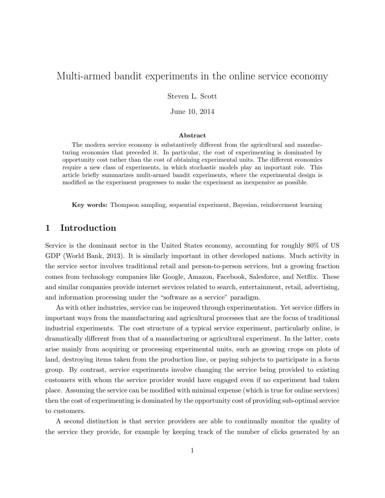# Multi-armed bandit experiments in the online service economy

Steven L. Scott

June 10, 2014

#### Abstract

The modern service economy is substantively different from the agricultural and manufacturing economies that preceded it. In particular, the cost of experimenting is dominated by opportunity cost rather than the cost of obtaining experimental units. The different economics require a new class of experiments, in which stochastic models play an important role. This article briefly summarizes mulit-armed bandit experiments, where the experimental design is modified as the experiment progresses to make the experiment as inexpensive as possible.

Key words: Thompson sampling, sequential experiment, Bayesian, reinforcement learning

### 1 Introduction

Service is the dominant sector in the United States economy, accounting for roughly 80% of US GDP [\(World Bank,](#page-11-0) [2013\)](#page-11-0). It is similarly important in other developed nations. Much activity in the service sector involves traditional retail and person-to-person services, but a growing fraction comes from technology companies like Google, Amazon, Facebook, Salesforce, and Netflix. These and similar companies provide internet services related to search, entertainment, retail, advertising, and information processing under the "software as a service" paradigm.

As with other industries, service can be improved through experimentation. Yet service differs in important ways from the manufacturing and agricultural processes that are the focus of traditional industrial experiments. The cost structure of a typical service experiment, particularly online, is dramatically different from that of a manufacturing or agricultural experiment. In the latter, costs arise mainly from acquiring or processing experimental units, such as growing crops on plots of land, destroying items taken from the production line, or paying subjects to participate in a focus group. By contrast, service experiments involve changing the service being provided to existing customers with whom the service provider would have engaged even if no experiment had taken place. Assuming the service can be modified with minimal expense (which is true for online services) then the cost of experimenting is dominated by the opportunity cost of providing sub-optimal service to customers.

A second distinction is that service providers are able to continually monitor the quality of the service they provide, for example by keeping track of the number of clicks generated by an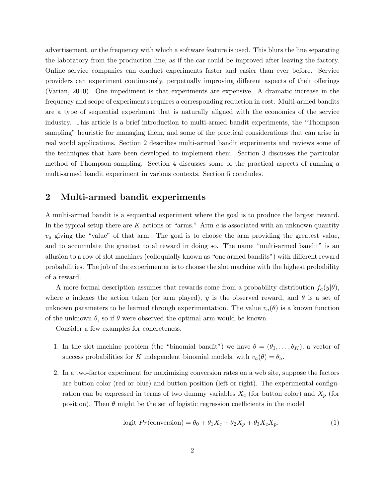advertisement, or the frequency with which a software feature is used. This blurs the line separating the laboratory from the production line, as if the car could be improved after leaving the factory. Online service companies can conduct experiments faster and easier than ever before. Service providers can experiment continuously, perpetually improving different aspects of their offerings [\(Varian,](#page-11-1) [2010\)](#page-11-1). One impediment is that experiments are expensive. A dramatic increase in the frequency and scope of experiments requires a corresponding reduction in cost. Multi-armed bandits are a type of sequential experiment that is naturally aligned with the economics of the service industry. This article is a brief introduction to multi-armed bandit experiments, the "Thompson sampling" heuristic for managing them, and some of the practical considerations that can arise in real world applications. Section [2](#page-1-0) describes multi-armed bandit experiments and reviews some of the techniques that have been developed to implement them. Section [3](#page-3-0) discusses the particular method of Thompson sampling. Section [4](#page-5-0) discusses some of the practical aspects of running a multi-armed bandit experiment in various contexts. Section [5](#page-10-0) concludes.

### <span id="page-1-0"></span>2 Multi-armed bandit experiments

A multi-armed bandit is a sequential experiment where the goal is to produce the largest reward. In the typical setup there are  $K$  actions or "arms." Arm  $a$  is associated with an unknown quantity  $v_a$  giving the "value" of that arm. The goal is to choose the arm providing the greatest value, and to accumulate the greatest total reward in doing so. The name "multi-armed bandit" is an allusion to a row of slot machines (colloquially known as "one armed bandits") with different reward probabilities. The job of the experimenter is to choose the slot machine with the highest probability of a reward.

A more formal description assumes that rewards come from a probability distribution  $f_a(y|\theta)$ , where a indexes the action taken (or arm played), y is the observed reward, and  $\theta$  is a set of unknown parameters to be learned through experimentation. The value  $v_a(\theta)$  is a known function of the unknown  $\theta$ , so if  $\theta$  were observed the optimal arm would be known.

Consider a few examples for concreteness.

- 1. In the slot machine problem (the "binomial bandit") we have  $\theta = (\theta_1, \dots, \theta_K)$ , a vector of success probabilities for K independent binomial models, with  $v_a(\theta) = \theta_a$ .
- 2. In a two-factor experiment for maximizing conversion rates on a web site, suppose the factors are button color (red or blue) and button position (left or right). The experimental configuration can be expressed in terms of two dummy variables  $X_c$  (for button color) and  $X_p$  (for position). Then  $\theta$  might be the set of logistic regression coefficients in the model

<span id="page-1-1"></span>
$$
logit \ Pr(\text{conversion}) = \theta_0 + \theta_1 X_c + \theta_2 X_p + \theta_3 X_c X_p. \tag{1}
$$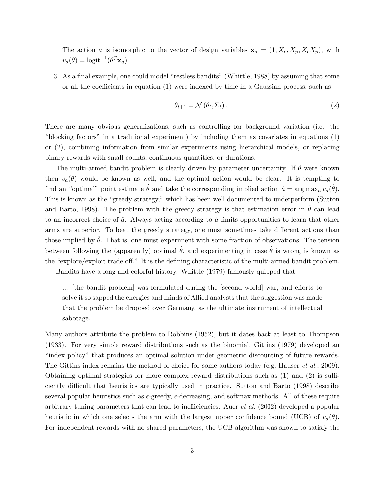The action a is isomorphic to the vector of design variables  $\mathbf{x}_a = (1, X_c, X_p, X_c X_p)$ , with  $v_a(\theta) = \text{logit}^{-1}(\theta^T \mathbf{x}_a).$ 

3. As a final example, one could model "restless bandits" [\(Whittle,](#page-11-2) [1988\)](#page-11-2) by assuming that some or all the coefficients in equation [\(1\)](#page-1-1) were indexed by time in a Gaussian process, such as

<span id="page-2-0"></span>
$$
\theta_{t+1} = \mathcal{N}\left(\theta_t, \Sigma_t\right). \tag{2}
$$

There are many obvious generalizations, such as controlling for background variation (i.e. the "blocking factors" in a traditional experiment) by including them as covariates in equations [\(1\)](#page-1-1) or [\(2\)](#page-2-0), combining information from similar experiments using hierarchical models, or replacing binary rewards with small counts, continuous quantities, or durations.

The multi-armed bandit problem is clearly driven by parameter uncertainty. If  $\theta$  were known then  $v_a(\theta)$  would be known as well, and the optimal action would be clear. It is tempting to find an "optimal" point estimate  $\hat{\theta}$  and take the corresponding implied action  $\hat{a} = \arg \max_a v_a(\hat{\theta})$ . This is known as the "greedy strategy," which has been well documented to underperform [\(Sutton](#page-11-3) [and Barto,](#page-11-3) [1998\)](#page-11-3). The problem with the greedy strategy is that estimation error in  $\theta$  can lead to an incorrect choice of  $\hat{a}$ . Always acting according to  $\hat{a}$  limits opportunities to learn that other arms are superior. To beat the greedy strategy, one must sometimes take different actions than those implied by  $\hat{\theta}$ . That is, one must experiment with some fraction of observations. The tension between following the (apparently) optimal  $\hat{\theta}$ , and experimenting in case  $\hat{\theta}$  is wrong is known as the "explore/exploit trade off." It is the defining characteristic of the multi-armed bandit problem. Bandits have a long and colorful history. [Whittle](#page-11-4) [\(1979\)](#page-11-4) famously quipped that

... [the bandit problem] was formulated during the [second world] war, and efforts to solve it so sapped the energies and minds of Allied analysts that the suggestion was made

that the problem be dropped over Germany, as the ultimate instrument of intellectual sabotage.

Many authors attribute the problem to [Robbins](#page-11-5) [\(1952\)](#page-11-5), but it dates back at least to [Thompson](#page-11-6) [\(1933\)](#page-11-6). For very simple reward distributions such as the binomial, [Gittins](#page-11-7) [\(1979\)](#page-11-7) developed an "index policy" that produces an optimal solution under geometric discounting of future rewards. The Gittins index remains the method of choice for some authors today (e.g. [Hauser](#page-11-8) *et al.*, [2009\)](#page-11-8). Obtaining optimal strategies for more complex reward distributions such as [\(1\)](#page-1-1) and [\(2\)](#page-2-0) is sufficiently difficult that heuristics are typically used in practice. [Sutton and Barto](#page-11-3) [\(1998\)](#page-11-3) describe several popular heuristics such as  $\epsilon$ -greedy,  $\epsilon$ -decreasing, and softmax methods. All of these require arbitrary tuning parameters that can lead to inefficiencies. Auer [et al.](#page-10-1) [\(2002\)](#page-10-1) developed a popular heuristic in which one selects the arm with the largest upper confidence bound (UCB) of  $v_a(\theta)$ . For independent rewards with no shared parameters, the UCB algorithm was shown to satisfy the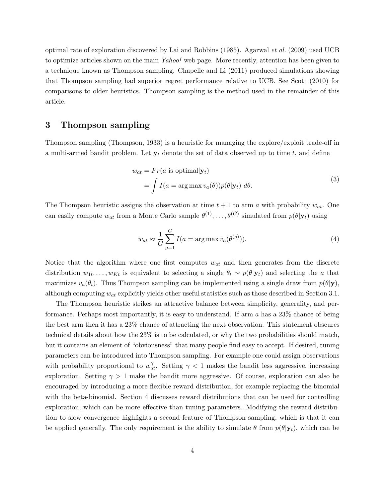optimal rate of exploration discovered by [Lai and Robbins](#page-11-9) [\(1985\)](#page-11-9). [Agarwal](#page-10-2) et al. [\(2009\)](#page-10-2) used UCB to optimize articles shown on the main Yahoo! web page. More recently, attention has been given to a technique known as Thompson sampling. [Chapelle and Li](#page-11-10) [\(2011\)](#page-11-10) produced simulations showing that Thompson sampling had superior regret performance relative to UCB. See [Scott](#page-11-11) [\(2010\)](#page-11-11) for comparisons to older heuristics. Thompson sampling is the method used in the remainder of this article.

### <span id="page-3-0"></span>3 Thompson sampling

Thompson sampling [\(Thompson,](#page-11-6) [1933\)](#page-11-6) is a heuristic for managing the explore/exploit trade-off in a multi-armed bandit problem. Let  $y_t$  denote the set of data observed up to time t, and define

$$
w_{at} = Pr(a \text{ is optimal}|\mathbf{y}_t)
$$
  
=  $\int I(a = \arg \max v_a(\theta)) p(\theta|\mathbf{y}_t) d\theta.$  (3)

The Thompson heuristic assigns the observation at time  $t + 1$  to arm a with probability  $w_{at}$ . One can easily compute  $w_{at}$  from a Monte Carlo sample  $\theta^{(1)}, \ldots, \theta^{(G)}$  simulated from  $p(\theta|\mathbf{y}_t)$  using

$$
w_{at} \approx \frac{1}{G} \sum_{g=1}^{G} I(a = \arg \max v_a(\theta^{(g)})).
$$
\n(4)

Notice that the algorithm where one first computes  $w_{at}$  and then generates from the discrete distribution  $w_{1t}, \ldots, w_{Kt}$  is equivalent to selecting a single  $\theta_t \sim p(\theta | \mathbf{y}_t)$  and selecting the a that maximizes  $v_a(\theta_t)$ . Thus Thompson sampling can be implemented using a single draw from  $p(\theta|\mathbf{y})$ , although computing  $w_{at}$  explicitly yields other useful statistics such as those described in Section [3.1.](#page-4-0)

The Thompson heuristic strikes an attractive balance between simplicity, generality, and performance. Perhaps most importantly, it is easy to understand. If arm  $a$  has a 23% chance of being the best arm then it has a 23% chance of attracting the next observation. This statement obscures technical details about how the 23% is to be calculated, or why the two probabilities should match, but it contains an element of "obviousness" that many people find easy to accept. If desired, tuning parameters can be introduced into Thompson sampling. For example one could assign observations with probability proportional to  $w_{at}^{\gamma}$ . Setting  $\gamma$  < 1 makes the bandit less aggressive, increasing exploration. Setting  $\gamma > 1$  make the bandit more aggressive. Of course, exploration can also be encouraged by introducing a more flexible reward distribution, for example replacing the binomial with the beta-binomial. Section [4](#page-5-0) discusses reward distributions that can be used for controlling exploration, which can be more effective than tuning parameters. Modifying the reward distribution to slow convergence highlights a second feature of Thompson sampling, which is that it can be applied generally. The only requirement is the ability to simulate  $\theta$  from  $p(\theta|\mathbf{y}_t)$ , which can be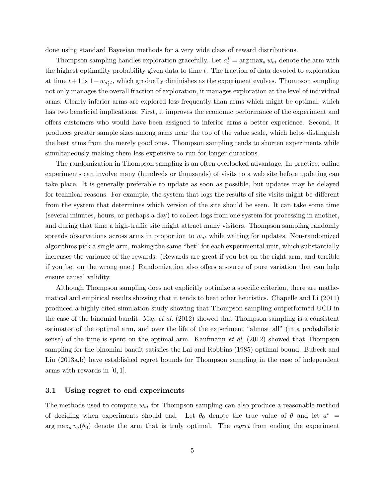done using standard Bayesian methods for a very wide class of reward distributions.

Thompson sampling handles exploration gracefully. Let  $a_t^* = \arg \max_a w_{at}$  denote the arm with the highest optimality probability given data to time  $t$ . The fraction of data devoted to exploration at time  $t+1$  is  $1-w_{a_t^*t}$ , which gradually diminishes as the experiment evolves. Thompson sampling not only manages the overall fraction of exploration, it manages exploration at the level of individual arms. Clearly inferior arms are explored less frequently than arms which might be optimal, which has two beneficial implications. First, it improves the economic performance of the experiment and offers customers who would have been assigned to inferior arms a better experience. Second, it produces greater sample sizes among arms near the top of the value scale, which helps distinguish the best arms from the merely good ones. Thompson sampling tends to shorten experiments while simultaneously making them less expensive to run for longer durations.

The randomization in Thompson sampling is an often overlooked advantage. In practice, online experiments can involve many (hundreds or thousands) of visits to a web site before updating can take place. It is generally preferable to update as soon as possible, but updates may be delayed for technical reasons. For example, the system that logs the results of site visits might be different from the system that determines which version of the site should be seen. It can take some time (several minutes, hours, or perhaps a day) to collect logs from one system for processing in another, and during that time a high-traffic site might attract many visitors. Thompson sampling randomly spreads observations across arms in proportion to  $w_{at}$  while waiting for updates. Non-randomized algorithms pick a single arm, making the same "bet" for each experimental unit, which substantially increases the variance of the rewards. (Rewards are great if you bet on the right arm, and terrible if you bet on the wrong one.) Randomization also offers a source of pure variation that can help ensure causal validity.

Although Thompson sampling does not explicitly optimize a specific criterion, there are mathematical and empirical results showing that it tends to beat other heuristics. [Chapelle and Li](#page-11-10) [\(2011\)](#page-11-10) produced a highly cited simulation study showing that Thompson sampling outperformed UCB in the case of the binomial bandit. May  $et al. (2012)$  $et al. (2012)$  $et al. (2012)$  showed that Thompson sampling is a consistent estimator of the optimal arm, and over the life of the experiment "almost all" (in a probabilistic sense) of the time is spent on the optimal arm. [Kaufmann](#page-11-13) et al. [\(2012\)](#page-11-13) showed that Thompson sampling for the binomial bandit satisfies the [Lai and Robbins](#page-11-9) [\(1985\)](#page-11-9) optimal bound. [Bubeck and](#page-10-3) [Liu](#page-10-3) [\(2013a,](#page-10-3)[b\)](#page-11-14) have established regret bounds for Thompson sampling in the case of independent arms with rewards in [0, 1].

#### <span id="page-4-0"></span>3.1 Using regret to end experiments

The methods used to compute  $w_{at}$  for Thompson sampling can also produce a reasonable method of deciding when experiments should end. Let  $\theta_0$  denote the true value of  $\theta$  and let  $a^*$  =  $\arg \max_a v_a(\theta_0)$  denote the arm that is truly optimal. The regret from ending the experiment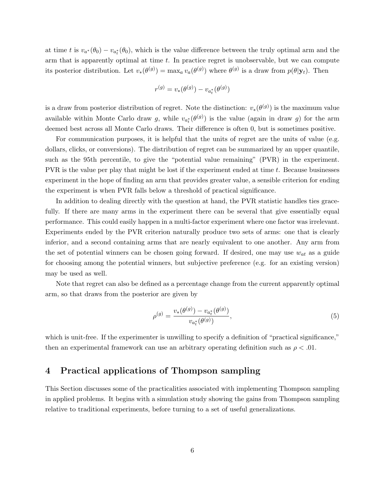at time t is  $v_{a^*}(\theta_0) - v_{a^*_{t}}(\theta_0)$ , which is the value difference between the truly optimal arm and the arm that is apparently optimal at time  $t$ . In practice regret is unobservable, but we can compute its posterior distribution. Let  $v_*(\theta^{(g)}) = \max_a v_a(\theta^{(g)})$  where  $\theta^{(g)}$  is a draw from  $p(\theta|\mathbf{y}_t)$ . Then

$$
r^{(g)} = v_* (\theta^{(g)}) - v_{a_t^*} (\theta^{(g)})
$$

is a draw from posterior distribution of regret. Note the distinction:  $v_*(\theta^{(g)})$  is the maximum value available within Monte Carlo draw g, while  $v_{a<sub>i</sub><sup>*</sup>}( \theta^{(g)})$  is the value (again in draw g) for the arm deemed best across all Monte Carlo draws. Their difference is often 0, but is sometimes positive.

For communication purposes, it is helpful that the units of regret are the units of value (e.g. dollars, clicks, or conversions). The distribution of regret can be summarized by an upper quantile, such as the 95th percentile, to give the "potential value remaining" (PVR) in the experiment. PVR is the value per play that might be lost if the experiment ended at time t. Because businesses experiment in the hope of finding an arm that provides greater value, a sensible criterion for ending the experiment is when PVR falls below a threshold of practical significance.

In addition to dealing directly with the question at hand, the PVR statistic handles ties gracefully. If there are many arms in the experiment there can be several that give essentially equal performance. This could easily happen in a multi-factor experiment where one factor was irrelevant. Experiments ended by the PVR criterion naturally produce two sets of arms: one that is clearly inferior, and a second containing arms that are nearly equivalent to one another. Any arm from the set of potential winners can be chosen going forward. If desired, one may use  $w_{at}$  as a guide for choosing among the potential winners, but subjective preference (e.g. for an existing version) may be used as well.

Note that regret can also be defined as a percentage change from the current apparently optimal arm, so that draws from the posterior are given by

<span id="page-5-1"></span>
$$
\rho^{(g)} = \frac{v_*(\theta^{(g)}) - v_{a_t^*}(\theta^{(g)})}{v_{a_t^*}(\theta^{(g)})},\tag{5}
$$

which is unit-free. If the experimenter is unwilling to specify a definition of "practical significance," then an experimental framework can use an arbitrary operating definition such as  $\rho < .01$ .

## <span id="page-5-0"></span>4 Practical applications of Thompson sampling

This Section discusses some of the practicalities associated with implementing Thompson sampling in applied problems. It begins with a simulation study showing the gains from Thompson sampling relative to traditional experiments, before turning to a set of useful generalizations.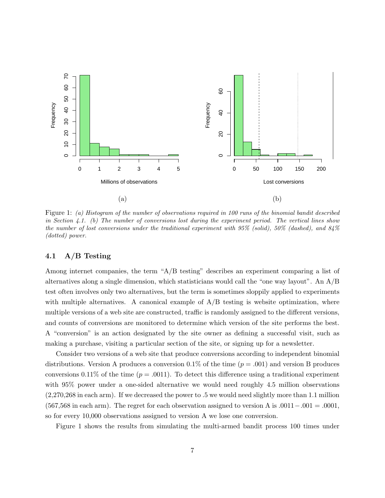

<span id="page-6-1"></span>Figure 1: (a) Histogram of the number of observations required in 100 runs of the binomial bandit described in Section [4.1.](#page-6-0) (b) The number of conversions lost during the experiment period. The vertical lines show the number of lost conversions under the traditional experiment with 95% (solid), 50% (dashed), and 84% (dotted) power.

#### <span id="page-6-0"></span>4.1 A/B Testing

Among internet companies, the term "A/B testing" describes an experiment comparing a list of alternatives along a single dimension, which statisticians would call the "one way layout". An A/B test often involves only two alternatives, but the term is sometimes sloppily applied to experiments with multiple alternatives. A canonical example of  $A/B$  testing is website optimization, where multiple versions of a web site are constructed, traffic is randomly assigned to the different versions, and counts of conversions are monitored to determine which version of the site performs the best. A "conversion" is an action designated by the site owner as defining a successful visit, such as making a purchase, visiting a particular section of the site, or signing up for a newsletter.

Consider two versions of a web site that produce conversions according to independent binomial distributions. Version A produces a conversion  $0.1\%$  of the time ( $p = .001$ ) and version B produces conversions 0.11% of the time ( $p = .0011$ ). To detect this difference using a traditional experiment with 95% power under a one-sided alternative we would need roughly 4.5 million observations (2,270,268 in each arm). If we decreased the power to .5 we would need slightly more than 1.1 million  $(567,568 \text{ in each arm})$ . The regret for each observation assigned to version A is  $.0011-.001 = .0001$ , so for every 10,000 observations assigned to version A we lose one conversion.

Figure [1](#page-6-1) shows the results from simulating the multi-armed bandit process 100 times under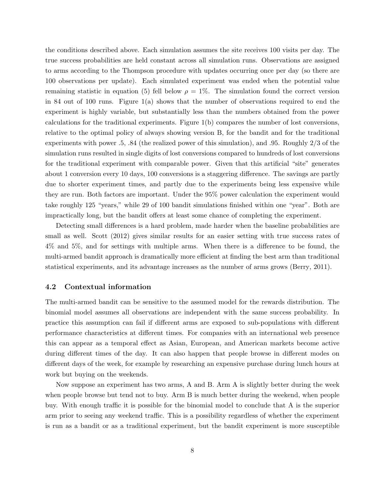the conditions described above. Each simulation assumes the site receives 100 visits per day. The true success probabilities are held constant across all simulation runs. Observations are assigned to arms according to the Thompson procedure with updates occurring once per day (so there are 100 observations per update). Each simulated experiment was ended when the potential value remaining statistic in equation [\(5\)](#page-5-1) fell below  $\rho = 1\%$ . The simulation found the correct version in 84 out of 100 runs. Figure  $1(a)$  $1(a)$  shows that the number of observations required to end the experiment is highly variable, but substantially less than the numbers obtained from the power calculations for the traditional experiments. Figure [1\(](#page-6-1)b) compares the number of lost conversions, relative to the optimal policy of always showing version B, for the bandit and for the traditional experiments with power .5, .84 (the realized power of this simulation), and .95. Roughly 2/3 of the simulation runs resulted in single digits of lost conversions compared to hundreds of lost conversions for the traditional experiment with comparable power. Given that this artificial "site" generates about 1 conversion every 10 days, 100 conversions is a staggering difference. The savings are partly due to shorter experiment times, and partly due to the experiments being less expensive while they are run. Both factors are important. Under the 95% power calculation the experiment would take roughly 125 "years," while 29 of 100 bandit simulations finished within one "year". Both are impractically long, but the bandit offers at least some chance of completing the experiment.

Detecting small differences is a hard problem, made harder when the baseline probabilities are small as well. [Scott](#page-11-15) [\(2012\)](#page-11-15) gives similar results for an easier setting with true success rates of 4% and 5%, and for settings with multiple arms. When there is a difference to be found, the multi-armed bandit approach is dramatically more efficient at finding the best arm than traditional statistical experiments, and its advantage increases as the number of arms grows [\(Berry,](#page-10-4) [2011\)](#page-10-4).

#### 4.2 Contextual information

The multi-armed bandit can be sensitive to the assumed model for the rewards distribution. The binomial model assumes all observations are independent with the same success probability. In practice this assumption can fail if different arms are exposed to sub-populations with different performance characteristics at different times. For companies with an international web presence this can appear as a temporal effect as Asian, European, and American markets become active during different times of the day. It can also happen that people browse in different modes on different days of the week, for example by researching an expensive purchase during lunch hours at work but buying on the weekends.

Now suppose an experiment has two arms, A and B. Arm A is slightly better during the week when people browse but tend not to buy. Arm B is much better during the weekend, when people buy. With enough traffic it is possible for the binomial model to conclude that A is the superior arm prior to seeing any weekend traffic. This is a possibility regardless of whether the experiment is run as a bandit or as a traditional experiment, but the bandit experiment is more susceptible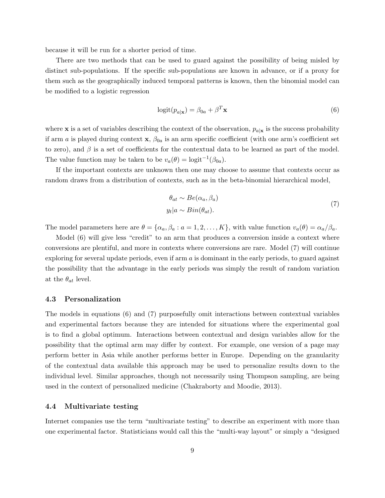because it will be run for a shorter period of time.

There are two methods that can be used to guard against the possibility of being misled by distinct sub-populations. If the specific sub-populations are known in advance, or if a proxy for them such as the geographically induced temporal patterns is known, then the binomial model can be modified to a logistic regression

<span id="page-8-0"></span>
$$
logit(p_{a|\mathbf{x}}) = \beta_{0a} + \beta^T \mathbf{x}
$$
\n(6)

where **x** is a set of variables describing the context of the observation,  $p_{a|x}$  is the success probability if arm a is played during context  $x$ ,  $\beta_{0a}$  is an arm specific coefficient (with one arm's coefficient set to zero), and  $\beta$  is a set of coefficients for the contextual data to be learned as part of the model. The value function may be taken to be  $v_a(\theta) = \text{logit}^{-1}(\beta_{0a})$ .

If the important contexts are unknown then one may choose to assume that contexts occur as random draws from a distribution of contexts, such as in the beta-binomial hierarchical model,

$$
\theta_{at} \sim Be(\alpha_a, \beta_a)
$$
  
\n
$$
y_t|a \sim Bin(\theta_{at}).
$$
\n(7)

<span id="page-8-1"></span>The model parameters here are  $\theta = {\alpha_a, \beta_a : a = 1, 2, ..., K}$ , with value function  $v_a(\theta) = \alpha_a/\beta_a$ .

Model  $(6)$  will give less "credit" to an arm that produces a conversion inside a context where conversions are plentiful, and more in contexts where conversions are rare. Model [\(7\)](#page-8-1) will continue exploring for several update periods, even if arm  $a$  is dominant in the early periods, to guard against the possibility that the advantage in the early periods was simply the result of random variation at the  $\theta_{at}$  level.

#### 4.3 Personalization

The models in equations [\(6\)](#page-8-0) and [\(7\)](#page-8-1) purposefully omit interactions between contextual variables and experimental factors because they are intended for situations where the experimental goal is to find a global optimum. Interactions between contextual and design variables allow for the possibility that the optimal arm may differ by context. For example, one version of a page may perform better in Asia while another performs better in Europe. Depending on the granularity of the contextual data available this approach may be used to personalize results down to the individual level. Similar approaches, though not necessarily using Thompson sampling, are being used in the context of personalized medicine [\(Chakraborty and Moodie,](#page-11-16) [2013\)](#page-11-16).

#### 4.4 Multivariate testing

Internet companies use the term "multivariate testing" to describe an experiment with more than one experimental factor. Statisticians would call this the "multi-way layout" or simply a "designed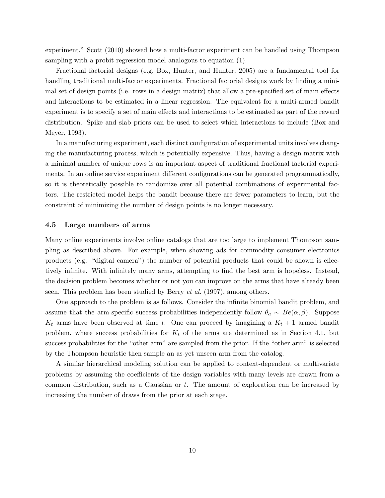experiment." [Scott](#page-11-11) [\(2010\)](#page-11-11) showed how a multi-factor experiment can be handled using Thompson sampling with a probit regression model analogous to equation [\(1\)](#page-1-1).

Fractional factorial designs (e.g. [Box, Hunter, and Hunter,](#page-10-5) [2005\)](#page-10-5) are a fundamental tool for handling traditional multi-factor experiments. Fractional factorial designs work by finding a minimal set of design points (i.e. rows in a design matrix) that allow a pre-specified set of main effects and interactions to be estimated in a linear regression. The equivalent for a multi-armed bandit experiment is to specify a set of main effects and interactions to be estimated as part of the reward distribution. Spike and slab priors can be used to select which interactions to include [\(Box and](#page-10-6) [Meyer,](#page-10-6) [1993\)](#page-10-6).

In a manufacturing experiment, each distinct configuration of experimental units involves changing the manufacturing process, which is potentially expensive. Thus, having a design matrix with a minimal number of unique rows is an important aspect of traditional fractional factorial experiments. In an online service experiment different configurations can be generated programmatically, so it is theoretically possible to randomize over all potential combinations of experimental factors. The restricted model helps the bandit because there are fewer parameters to learn, but the constraint of minimizing the number of design points is no longer necessary.

#### 4.5 Large numbers of arms

Many online experiments involve online catalogs that are too large to implement Thompson sampling as described above. For example, when showing ads for commodity consumer electronics products (e.g. "digital camera") the number of potential products that could be shown is effectively infinite. With infinitely many arms, attempting to find the best arm is hopeless. Instead, the decision problem becomes whether or not you can improve on the arms that have already been seen. This problem has been studied by [Berry](#page-10-7) et al. [\(1997\)](#page-10-7), among others.

One approach to the problem is as follows. Consider the infinite binomial bandit problem, and assume that the arm-specific success probabilities independently follow  $\theta_a \sim Be(\alpha, \beta)$ . Suppose  $K_t$  arms have been observed at time t. One can proceed by imagining a  $K_t + 1$  armed bandit problem, where success probabilities for  $K_t$  of the arms are determined as in Section [4.1,](#page-6-0) but success probabilities for the "other arm" are sampled from the prior. If the "other arm" is selected by the Thompson heuristic then sample an as-yet unseen arm from the catalog.

A similar hierarchical modeling solution can be applied to context-dependent or multivariate problems by assuming the coefficients of the design variables with many levels are drawn from a common distribution, such as a Gaussian or t. The amount of exploration can be increased by increasing the number of draws from the prior at each stage.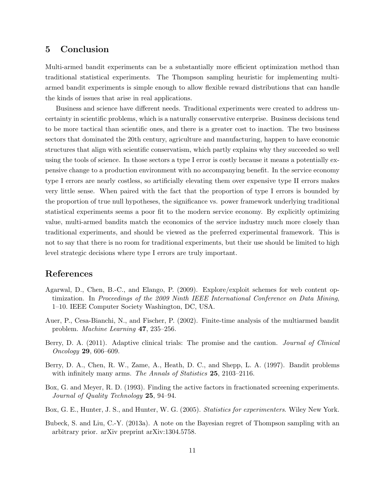## <span id="page-10-0"></span>5 Conclusion

Multi-armed bandit experiments can be a substantially more efficient optimization method than traditional statistical experiments. The Thompson sampling heuristic for implementing multiarmed bandit experiments is simple enough to allow flexible reward distributions that can handle the kinds of issues that arise in real applications.

Business and science have different needs. Traditional experiments were created to address uncertainty in scientific problems, which is a naturally conservative enterprise. Business decisions tend to be more tactical than scientific ones, and there is a greater cost to inaction. The two business sectors that dominated the 20th century, agriculture and manufacturing, happen to have economic structures that align with scientific conservatism, which partly explains why they succeeded so well using the tools of science. In those sectors a type I error is costly because it means a potentially expensive change to a production environment with no accompanying benefit. In the service economy type I errors are nearly costless, so artificially elevating them over expensive type II errors makes very little sense. When paired with the fact that the proportion of type I errors is bounded by the proportion of true null hypotheses, the significance vs. power framework underlying traditional statistical experiments seems a poor fit to the modern service economy. By explicitly optimizing value, multi-armed bandits match the economics of the service industry much more closely than traditional experiments, and should be viewed as the preferred experimental framework. This is not to say that there is no room for traditional experiments, but their use should be limited to high level strategic decisions where type I errors are truly important.

## References

- <span id="page-10-2"></span>Agarwal, D., Chen, B.-C., and Elango, P. (2009). Explore/exploit schemes for web content optimization. In Proceedings of the 2009 Ninth IEEE International Conference on Data Mining, 1–10. IEEE Computer Society Washington, DC, USA.
- <span id="page-10-1"></span>Auer, P., Cesa-Bianchi, N., and Fischer, P. (2002). Finite-time analysis of the multiarmed bandit problem. Machine Learning 47, 235–256.
- <span id="page-10-4"></span>Berry, D. A. (2011). Adaptive clinical trials: The promise and the caution. *Journal of Clinical* Oncology 29, 606–609.
- <span id="page-10-7"></span>Berry, D. A., Chen, R. W., Zame, A., Heath, D. C., and Shepp, L. A. (1997). Bandit problems with infinitely many arms. The Annals of Statistics 25, 2103-2116.
- <span id="page-10-6"></span>Box, G. and Meyer, R. D. (1993). Finding the active factors in fractionated screening experiments. Journal of Quality Technology 25, 94–94.
- <span id="page-10-5"></span>Box, G. E., Hunter, J. S., and Hunter, W. G. (2005). *Statistics for experimenters*. Wiley New York.
- <span id="page-10-3"></span>Bubeck, S. and Liu, C.-Y. (2013a). A note on the Bayesian regret of Thompson sampling with an arbitrary prior. arXiv preprint arXiv:1304.5758.